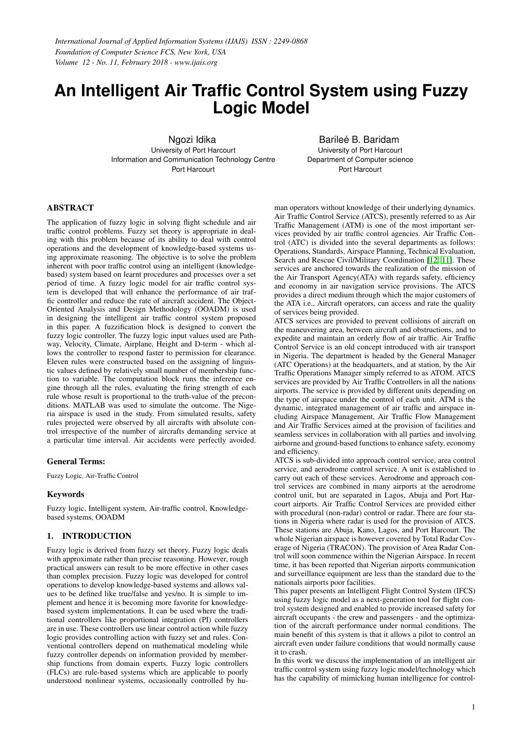# **An Intelligent Air Traffic Control System using Fuzzy Logic Model**

Ngozi Idika University of Port Harcourt Information and Communication Technology Centre Port Harcourt

Barileé B. Baridam University of Port Harcourt Department of Computer science Port Harcourt

## ABSTRACT

The application of fuzzy logic in solving flight schedule and air traffic control problems. Fuzzy set theory is appropriate in dealing with this problem because of its ability to deal with control operations and the development of knowledge-based systems using approximate reasoning. The objective is to solve the problem inherent with poor traffic control using an intelligent (knowledgebased) system based on learnt procedures and processes over a set period of time. A fuzzy logic model for air traffic control system is developed that will enhance the performance of air traffic controller and reduce the rate of aircraft accident. The Object-Oriented Analysis and Design Methodology (OOADM) is used in designing the intelligent air traffic control system proposed in this paper. A fuzzification block is designed to convert the fuzzy logic controller. The fuzzy logic input values used are Pathway, Velocity, Climate, Airplane, Height and D-term - which allows the controller to respond faster to permission for clearance. Eleven rules were constructed based on the assigning of linguistic values defined by relatively small number of membership function to variable. The computation block runs the inference engine through all the rules, evaluating the firing strength of each rule whose result is proportional to the truth-value of the preconditions. MATLAB was used to simulate the outcome. The Nigeria airspace is used in the study. From simulated results, safety rules projected were observed by all aircrafts with absolute control irrespective of the number of aircrafts demanding service at a particular time interval. Air accidents were perfectly avoided.

## General Terms:

Fuzzy Logic, Air-Traffic Control

## Keywords

Fuzzy logic, Intelligent system, Air-traffic control, Knowledgebased systems, OOADM

## 1. INTRODUCTION

Fuzzy logic is derived from fuzzy set theory. Fuzzy logic deals with approximate rather than precise reasoning. However, rough practical answers can result to be more effective in other cases than complex precision. Fuzzy logic was developed for control operations to develop knowledge-based systems and allows values to be defined like true/false and yes/no. It is simple to implement and hence it is becoming more favorite for knowledgebased system implementations. It can be used where the traditional controllers like proportional integration (PI) controllers are in use. These controllers use linear control action while fuzzy logic provides controlling action with fuzzy set and rules. Conventional controllers depend on mathematical modeling while fuzzy controller depends on information provided by membership functions from domain experts. Fuzzy logic controllers (FLCs) are rule-based systems which are applicable to poorly understood nonlinear systems, occasionally controlled by human operators without knowledge of their underlying dynamics. Air Traffic Control Service (ATCS), presently referred to as Air Traffic Management (ATM) is one of the most important services provided by air traffic control agencies. Air Traffic Control (ATC) is divided into the several departments as follows: Operations, Standards, Airspace Planning, Technical Evaluation, Search and Rescue Civil/Military Coordination [\[12,](#page-8-0) [11\]](#page-8-1). These services are anchored towards the realization of the mission of the Air Transport Agency(ATA) with regards safety, efficiency and economy in air navigation service provisions. The ATCS provides a direct medium through which the major customers of the ATA i.e., Aircraft operators, can access and rate the quality of services being provided.

ATCS services are provided to prevent collisions of aircraft on the maneuvering area, between aircraft and obstructions, and to expedite and maintain an orderly flow of air traffic. Air Traffic Control Service is an old concept introduced with air transport in Nigeria. The department is headed by the General Manager (ATC Operations) at the headquarters, and at station, by the Air Traffic Operations Manager simply referred to as ATOM. ATCS services are provided by Air Traffic Controllers in all the nations airports. The service is provided by different units depending on the type of airspace under the control of each unit. ATM is the dynamic, integrated management of air traffic and airspace including Airspace Management, Air Traffic Flow Management and Air Traffic Services aimed at the provision of facilities and seamless services in collaboration with all parties and involving airborne and ground-based functions to enhance safety, economy and efficiency.

ATCS is sub-divided into approach control service, area control service, and aerodrome control service. A unit is established to carry out each of these services. Aerodrome and approach control services are combined in many airports at the aerodrome control unit, but are separated in Lagos, Abuja and Port Harcourt airports. Air Traffic Control Services are provided either with procedural (non-radar) control or radar. There are four stations in Nigeria where radar is used for the provision of ATCS. These stations are Abuja, Kano, Lagos, and Port Harcourt. The whole Nigerian airspace is however covered by Total Radar Coverage of Nigeria (TRACON). The provision of Area Radar Control will soon commence within the Nigerian Airspace. In recent time, it has been reported that Nigerian airports communication and surveillance equipment are less than the standard due to the nationals airports poor facilities.

This paper presents an Intelligent Flight Control System (IFCS) using fuzzy logic model as a next-generation tool for flight control system designed and enabled to provide increased safety for aircraft occupants - the crew and passengers - and the optimization of the aircraft performance under normal conditions. The main benefit of this system is that it allows a pilot to control an aircraft even under failure conditions that would normally cause it to crash.

In this work we discuss the implementation of an intelligent air traffic control system using fuzzy logic model/technology which has the capability of mimicking human intelligence for control-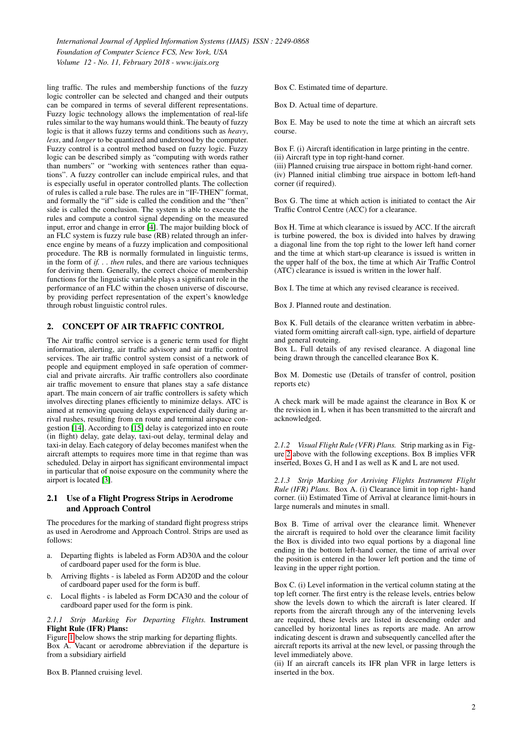ling traffic. The rules and membership functions of the fuzzy logic controller can be selected and changed and their outputs can be compared in terms of several different representations. Fuzzy logic technology allows the implementation of real-life rules similar to the way humans would think. The beauty of fuzzy logic is that it allows fuzzy terms and conditions such as *heavy*, *less*, and *longer* to be quantized and understood by the computer. Fuzzy control is a control method based on fuzzy logic. Fuzzy logic can be described simply as "computing with words rather than numbers" or "working with sentences rather than equations". A fuzzy controller can include empirical rules, and that is especially useful in operator controlled plants. The collection of rules is called a rule base. The rules are in "IF-THEN" format, and formally the "if" side is called the condition and the "then" side is called the conclusion. The system is able to execute the rules and compute a control signal depending on the measured input, error and change in error [\[4\]](#page-8-2). The major building block of an FLC system is fuzzy rule base (RB) related through an inference engine by means of a fuzzy implication and compositional procedure. The RB is normally formulated in linguistic terms, in the form of *if. . . then* rules, and there are various techniques for deriving them. Generally, the correct choice of membership functions for the linguistic variable plays a significant role in the performance of an FLC within the chosen universe of discourse, by providing perfect representation of the expert's knowledge through robust linguistic control rules.

#### 2. CONCEPT OF AIR TRAFFIC CONTROL

The Air traffic control service is a generic term used for flight information, alerting, air traffic advisory and air traffic control services. The air traffic control system consist of a network of people and equipment employed in safe operation of commercial and private aircrafts. Air traffic controllers also coordinate air traffic movement to ensure that planes stay a safe distance apart. The main concern of air traffic controllers is safety which involves directing planes efficiently to minimize delays. ATC is aimed at removing queuing delays experienced daily during arrival rushes, resulting from en route and terminal airspace congestion [\[14\]](#page-8-3). According to [\[15\]](#page-8-4) delay is categorized into en route (in flight) delay, gate delay, taxi-out delay, terminal delay and taxi-in delay. Each category of delay becomes manifest when the aircraft attempts to requires more time in that regime than was scheduled. Delay in airport has significant environmental impact in particular that of noise exposure on the community where the airport is located [\[3\]](#page-8-5).

#### 2.1 Use of a Flight Progress Strips in Aerodrome and Approach Control

The procedures for the marking of standard flight progress strips as used in Aerodrome and Approach Control. Strips are used as follows:

- a. Departing flights is labeled as Form AD30A and the colour of cardboard paper used for the form is blue.
- b. Arriving flights is labeled as Form AD20D and the colour of cardboard paper used for the form is buff.
- c. Local flights is labeled as Form DCA30 and the colour of cardboard paper used for the form is pink.

#### *2.1.1 Strip Marking For Departing Flights.* Instrument Flight Rule (IFR) Plans:

Figure [1](#page-2-0) below shows the strip marking for departing flights. Box A. Vacant or aerodrome abbreviation if the departure is from a subsidiary airfield

Box B. Planned cruising level.

Box C. Estimated time of departure.

Box D. Actual time of departure.

Box E. May be used to note the time at which an aircraft sets course.

Box F. (i) Aircraft identification in large printing in the centre.

(ii) Aircraft type in top right-hand corner.

(iii) Planned cruising true airspace in bottom right-hand corner. (iv) Planned initial climbing true airspace in bottom left-hand corner (if required).

Box G. The time at which action is initiated to contact the Air Traffic Control Centre (ACC) for a clearance.

Box H. Time at which clearance is issued by ACC. If the aircraft is turbine powered, the box is divided into halves by drawing a diagonal line from the top right to the lower left hand corner and the time at which start-up clearance is issued is written in the upper half of the box, the time at which Air Traffic Control (ATC) clearance is issued is written in the lower half.

Box I. The time at which any revised clearance is received.

Box J. Planned route and destination.

Box K. Full details of the clearance written verbatim in abbreviated form omitting aircraft call-sign, type, airfield of departure and general routeing.

Box L. Full details of any revised clearance. A diagonal line being drawn through the cancelled clearance Box K.

Box M. Domestic use (Details of transfer of control, position reports etc)

A check mark will be made against the clearance in Box K or the revision in L when it has been transmitted to the aircraft and acknowledged.

*2.1.2 Visual Flight Rule (VFR) Plans.* Strip marking as in Figure [2](#page-2-1) above with the following exceptions. Box B implies VFR inserted, Boxes G, H and I as well as K and L are not used.

*2.1.3 Strip Marking for Arriving Flights Instrument Flight Rule (IFR) Plans.* Box A. (i) Clearance limit in top right- hand corner. (ii) Estimated Time of Arrival at clearance limit-hours in large numerals and minutes in small.

Box B. Time of arrival over the clearance limit. Whenever the aircraft is required to hold over the clearance limit facility the Box is divided into two equal portions by a diagonal line ending in the bottom left-hand corner, the time of arrival over the position is entered in the lower left portion and the time of leaving in the upper right portion.

Box C. (i) Level information in the vertical column stating at the top left corner. The first entry is the release levels, entries below show the levels down to which the aircraft is later cleared. If reports from the aircraft through any of the intervening levels are required, these levels are listed in descending order and cancelled by horizontal lines as reports are made. An arrow indicating descent is drawn and subsequently cancelled after the aircraft reports its arrival at the new level, or passing through the level immediately above.

(ii) If an aircraft cancels its IFR plan VFR in large letters is inserted in the box.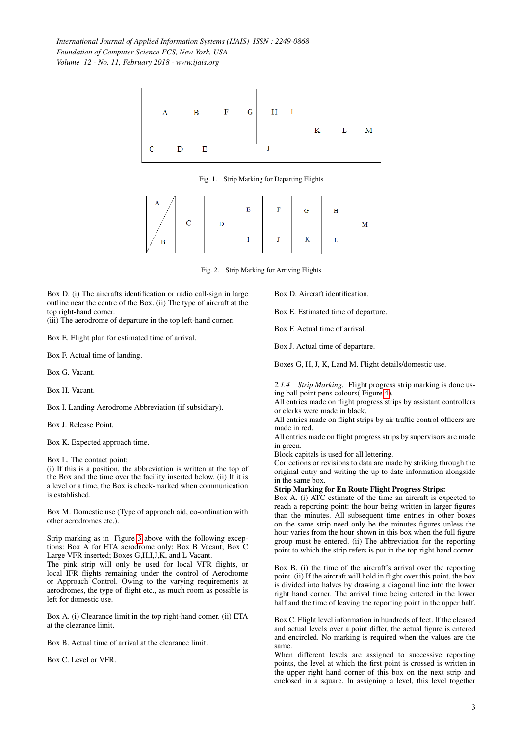

<span id="page-2-0"></span>Fig. 1. Strip Marking for Departing Flights

|   |   | E | $\sim$ F $^{-1}$ | $\mathbf{G}$ | Н |   |
|---|---|---|------------------|--------------|---|---|
|   | D |   |                  |              |   | M |
| в |   |   | J                | K            |   |   |

<span id="page-2-1"></span>Fig. 2. Strip Marking for Arriving Flights

Box D. (i) The aircrafts identification or radio call-sign in large outline near the centre of the Box. (ii) The type of aircraft at the top right-hand corner.

(iii) The aerodrome of departure in the top left-hand corner.

Box E. Flight plan for estimated time of arrival.

Box F. Actual time of landing.

Box G. Vacant.

Box H. Vacant.

Box I. Landing Aerodrome Abbreviation (if subsidiary).

Box J. Release Point.

Box K. Expected approach time.

Box L. The contact point;

(i) If this is a position, the abbreviation is written at the top of the Box and the time over the facility inserted below. (ii) If it is a level or a time, the Box is check-marked when communication is established.

Box M. Domestic use (Type of approach aid, co-ordination with other aerodromes etc.).

Strip marking as in Figure [3](#page-3-0) above with the following exceptions: Box A for ETA aerodrome only; Box B Vacant; Box C Large VFR inserted; Boxes G,H,I,J,K, and L Vacant.

The pink strip will only be used for local VFR flights, or local IFR flights remaining under the control of Aerodrome or Approach Control. Owing to the varying requirements at aerodromes, the type of flight etc., as much room as possible is left for domestic use.

Box A. (i) Clearance limit in the top right-hand corner. (ii) ETA at the clearance limit.

Box B. Actual time of arrival at the clearance limit.

Box C. Level or VFR.

Box D. Aircraft identification.

Box E. Estimated time of departure.

Box F. Actual time of arrival.

Box J. Actual time of departure.

Boxes G, H, J, K, Land M. Flight details/domestic use.

*2.1.4 Strip Marking.* Flight progress strip marking is done using ball point pens colours( Figure [4\)](#page-3-1).

All entries made on flight progress strips by assistant controllers or clerks were made in black.

All entries made on flight strips by air traffic control officers are made in red.

All entries made on flight progress strips by supervisors are made in green.

Block capitals is used for all lettering.

Corrections or revisions to data are made by striking through the original entry and writing the up to date information alongside in the same box.

#### Strip Marking for En Route Flight Progress Strips:

Box A. (i) ATC estimate of the time an aircraft is expected to reach a reporting point: the hour being written in larger figures than the minutes. All subsequent time entries in other boxes on the same strip need only be the minutes figures unless the hour varies from the hour shown in this box when the full figure group must be entered. (ii) The abbreviation for the reporting point to which the strip refers is put in the top right hand corner.

Box B. (i) the time of the aircraft's arrival over the reporting point. (ii) If the aircraft will hold in flight over this point, the box is divided into halves by drawing a diagonal line into the lower right hand corner. The arrival time being entered in the lower half and the time of leaving the reporting point in the upper half.

Box C. Flight level information in hundreds of feet. If the cleared and actual levels over a point differ, the actual figure is entered and encircled. No marking is required when the values are the same.

When different levels are assigned to successive reporting points, the level at which the first point is crossed is written in the upper right hand corner of this box on the next strip and enclosed in a square. In assigning a level, this level together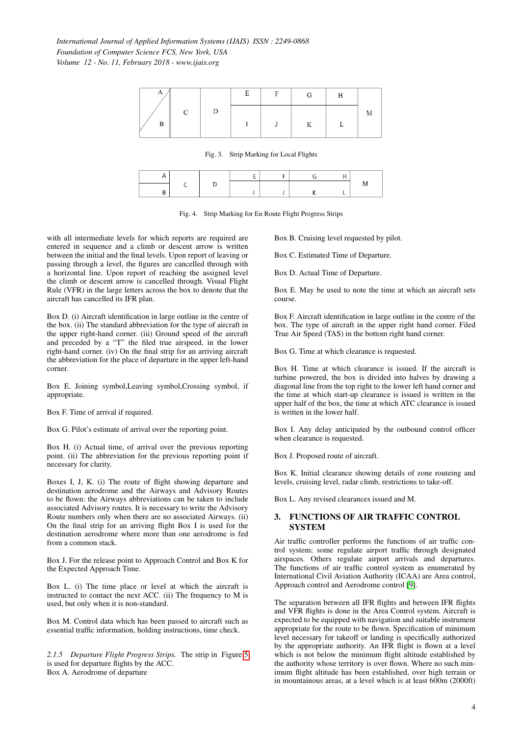|  | E | F | G | п |  |
|--|---|---|---|---|--|
|  |   |   |   |   |  |

<span id="page-3-0"></span>Fig. 3. Strip Marking for Local Flights

<span id="page-3-1"></span>Fig. 4. Strip Marking for En Route Flight Progress Strips

with all intermediate levels for which reports are required are entered in sequence and a climb or descent arrow is written between the initial and the final levels. Upon report of leaving or passing through a level, the figures are cancelled through with a horizontal line. Upon report of reaching the assigned level the climb or descent arrow is cancelled through. Visual Flight Rule (VFR) in the large letters across the box to denote that the aircraft has cancelled its IFR plan.

Box D. (i) Aircraft identification in large outline in the centre of the box. (ii) The standard abbreviation for the type of aircraft in the upper right-hand corner. (iii) Ground speed of the aircraft and preceded by a "T" the filed true airspeed, in the lower right-hand corner. (iv) On the final strip for an arriving aircraft the abbreviation for the place of departure in the upper left-hand corner.

Box E. Joining symbol,Leaving symbol,Crossing symbol, if appropriate.

Box F. Time of arrival if required.

Box G. Pilot's estimate of arrival over the reporting point.

Box H. (i) Actual time, of arrival over the previous reporting point. (ii) The abbreviation for the previous reporting point if necessary for clarity.

Boxes I, J, K. (i) The route of flight showing departure and destination aerodrome and the Airways and Advisory Routes to be flown: the Airways abbreviations can be taken to include associated Advisory routes. It is necessary to write the Advisory Route numbers only when there are no associated Airways. (ii) On the final strip for an arriving flight Box I is used for the destination aerodrome where more than one aerodrome is fed from a common stack.

Box J. For the release point to Approach Control and Box K for the Expected Approach Time.

Box L. (i) The time place or level at which the aircraft is instructed to contact the next ACC. (ii) The frequency to M is used, but only when it is non-standard.

Box M. Control data which has been passed to aircraft such as essential traffic information, holding instructions, time check.

*2.1.5 Departure Flight Progress Strips.* The strip in Figure [5](#page-4-0) is used for departure flights by the ACC. Box A. Aerodrome of departure

Box B. Cruising level requested by pilot.

Box C. Estimated Time of Departure.

Box D. Actual Time of Departure.

Box E. May be used to note the time at which an aircraft sets course.

Box F. Aircraft identification in large outline in the centre of the box. The type of aircraft in the upper right hand corner. Filed True Air Speed (TAS) in the bottom right hand corner.

Box G. Time at which clearance is requested.

Box H. Time at which clearance is issued. If the aircraft is turbine powered, the box is divided into halves by drawing a diagonal line from the top right to the lower left hand corner and the time at which start-up clearance is issued is written in the upper half of the box, the time at which ATC clearance is issued is written in the lower half.

Box I. Any delay anticipated by the outbound control officer when clearance is requested.

Box J. Proposed route of aircraft.

Box K. Initial clearance showing details of zone routeing and levels, cruising level, radar climb, restrictions to take-off.

Box L. Any revised clearances issued and M.

## 3. FUNCTIONS OF AIR TRAFFIC CONTROL **SYSTEM**

Air traffic controller performs the functions of air traffic control system; some regulate airport traffic through designated airspaces. Others regulate airport arrivals and departures. The functions of air traffic control system as enumerated by International Civil Aviation Authority (ICAA) are Area control, Approach control and Aerodrome control [\[9\]](#page-8-6).

The separation between all IFR flights and between IFR flights and VFR flights is done in the Area Control system. Aircraft is expected to be equipped with navigation and suitable instrument appropriate for the route to be flown. Specification of minimum level necessary for takeoff or landing is specifically authorized by the appropriate authority. An IFR flight is flown at a level which is not below the minimum flight altitude established by the authority whose territory is over flown. Where no such minimum flight altitude has been established, over high terrain or in mountainous areas, at a level which is at least 600m (2000ft)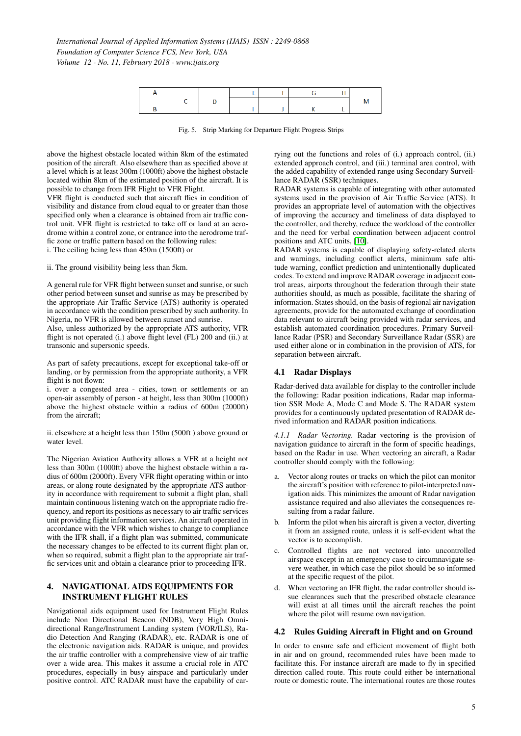

<span id="page-4-0"></span>Fig. 5. Strip Marking for Departure Flight Progress Strips

above the highest obstacle located within 8km of the estimated position of the aircraft. Also elsewhere than as specified above at a level which is at least 300m (1000ft) above the highest obstacle located within 8km of the estimated position of the aircraft. It is possible to change from IFR Flight to VFR Flight.

VFR flight is conducted such that aircraft flies in condition of visibility and distance from cloud equal to or greater than those specified only when a clearance is obtained from air traffic control unit. VFR flight is restricted to take off or land at an aerodrome within a control zone, or entrance into the aerodrome traffic zone or traffic pattern based on the following rules:

i. The ceiling being less than 450m (1500ft) or

ii. The ground visibility being less than 5km.

A general rule for VFR flight between sunset and sunrise, or such other period between sunset and sunrise as may be prescribed by the appropriate Air Traffic Service (ATS) authority is operated in accordance with the condition prescribed by such authority. In Nigeria, no VFR is allowed between sunset and sunrise.

Also, unless authorized by the appropriate ATS authority, VFR flight is not operated (i.) above flight level (FL) 200 and (ii.) at transonic and supersonic speeds.

As part of safety precautions, except for exceptional take-off or landing, or by permission from the appropriate authority, a VFR flight is not flown:

i. over a congested area - cities, town or settlements or an open-air assembly of person - at height, less than 300m (1000ft) above the highest obstacle within a radius of 600m (2000ft) from the aircraft;

ii. elsewhere at a height less than 150m (500ft ) above ground or water level.

The Nigerian Aviation Authority allows a VFR at a height not less than 300m (1000ft) above the highest obstacle within a radius of 600m (2000ft). Every VFR flight operating within or into areas, or along route designated by the appropriate ATS authority in accordance with requirement to submit a flight plan, shall maintain continuous listening watch on the appropriate radio frequency, and report its positions as necessary to air traffic services unit providing flight information services. An aircraft operated in accordance with the VFR which wishes to change to compliance with the IFR shall, if a flight plan was submitted, communicate the necessary changes to be effected to its current flight plan or, when so required, submit a flight plan to the appropriate air traffic services unit and obtain a clearance prior to proceeding IFR.

## 4. NAVIGATIONAL AIDS EQUIPMENTS FOR INSTRUMENT FLIGHT RULES

Navigational aids equipment used for Instrument Flight Rules include Non Directional Beacon (NDB), Very High Omnidirectional Range/Instrument Landing system (VOR/ILS), Radio Detection And Ranging (RADAR), etc. RADAR is one of the electronic navigation aids. RADAR is unique, and provides the air traffic controller with a comprehensive view of air traffic over a wide area. This makes it assume a crucial role in ATC procedures, especially in busy airspace and particularly under positive control. ATC RADAR must have the capability of carrying out the functions and roles of (i.) approach control, (ii.) extended approach control, and (iii.) terminal area control, with the added capability of extended range using Secondary Surveillance RADAR (SSR) techniques.

RADAR systems is capable of integrating with other automated systems used in the provision of Air Traffic Service (ATS). It provides an appropriate level of automation with the objectives of improving the accuracy and timeliness of data displayed to the controller, and thereby, reduce the workload of the controller and the need for verbal coordination between adjacent control positions and ATC units, [\[10\]](#page-8-7).

RADAR systems is capable of displaying safety-related alerts and warnings, including conflict alerts, minimum safe altitude warning, conflict prediction and unintentionally duplicated codes. To extend and improve RADAR coverage in adjacent control areas, airports throughout the federation through their state authorities should, as much as possible, facilitate the sharing of information. States should, on the basis of regional air navigation agreements, provide for the automated exchange of coordination data relevant to aircraft being provided with radar services, and establish automated coordination procedures. Primary Surveillance Radar (PSR) and Secondary Surveillance Radar (SSR) are used either alone or in combination in the provision of ATS, for separation between aircraft.

#### 4.1 Radar Displays

Radar-derived data available for display to the controller include the following: Radar position indications, Radar map information SSR Mode A, Mode C and Mode S. The RADAR system provides for a continuously updated presentation of RADAR derived information and RADAR position indications.

*4.1.1 Radar Vectoring.* Radar vectoring is the provision of navigation guidance to aircraft in the form of specific headings, based on the Radar in use. When vectoring an aircraft, a Radar controller should comply with the following:

- a. Vector along routes or tracks on which the pilot can monitor the aircraft's position with reference to pilot-interpreted navigation aids. This minimizes the amount of Radar navigation assistance required and also alleviates the consequences resulting from a radar failure.
- b. Inform the pilot when his aircraft is given a vector, diverting it from an assigned route, unless it is self-evident what the vector is to accomplish.
- c. Controlled flights are not vectored into uncontrolled airspace except in an emergency case to circumnavigate severe weather, in which case the pilot should be so informed at the specific request of the pilot.
- d. When vectoring an IFR flight, the radar controller should issue clearances such that the prescribed obstacle clearance will exist at all times until the aircraft reaches the point where the pilot will resume own navigation.

#### 4.2 Rules Guiding Aircraft in Flight and on Ground

In order to ensure safe and efficient movement of flight both in air and on ground, recommended rules have been made to facilitate this. For instance aircraft are made to fly in specified direction called route. This route could either be international route or domestic route. The international routes are those routes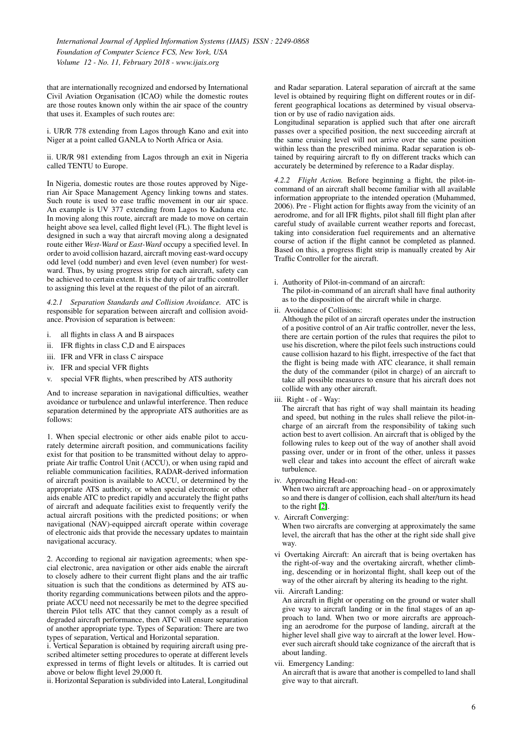that are internationally recognized and endorsed by International Civil Aviation Organisation (ICAO) while the domestic routes are those routes known only within the air space of the country that uses it. Examples of such routes are:

i. UR/R 778 extending from Lagos through Kano and exit into Niger at a point called GANLA to North Africa or Asia.

ii. UR/R 981 extending from Lagos through an exit in Nigeria called TENTU to Europe.

In Nigeria, domestic routes are those routes approved by Nigerian Air Space Management Agency linking towns and states. Such route is used to ease traffic movement in our air space. An example is UV 377 extending from Lagos to Kaduna etc. In moving along this route, aircraft are made to move on certain height above sea level, called flight level (FL). The flight level is designed in such a way that aircraft moving along a designated route either *West-Ward* or *East-Ward* occupy a specified level. In order to avoid collision hazard, aircraft moving east-ward occupy odd level (odd number) and even level (even number) for westward. Thus, by using progress strip for each aircraft, safety can be achieved to certain extent. It is the duty of air traffic controller to assigning this level at the request of the pilot of an aircraft.

*4.2.1 Separation Standards and Collision Avoidance.* ATC is responsible for separation between aircraft and collision avoidance. Provision of separation is between:

- i. all flights in class A and B airspaces
- ii. IFR flights in class C,D and E airspaces
- iii. IFR and VFR in class C airspace
- iv. IFR and special VFR flights
- v. special VFR flights, when prescribed by ATS authority

And to increase separation in navigational difficulties, weather avoidance or turbulence and unlawful interference. Then reduce separation determined by the appropriate ATS authorities are as follows:

1. When special electronic or other aids enable pilot to accurately determine aircraft position, and communications facility exist for that position to be transmitted without delay to appropriate Air traffic Control Unit (ACCU), or when using rapid and reliable communication facilities, RADAR-derived information of aircraft position is available to ACCU, or determined by the appropriate ATS authority, or when special electronic or other aids enable ATC to predict rapidly and accurately the flight paths of aircraft and adequate facilities exist to frequently verify the actual aircraft positions with the predicted positions; or when navigational (NAV)-equipped aircraft operate within coverage of electronic aids that provide the necessary updates to maintain navigational accuracy.

2. According to regional air navigation agreements; when special electronic, area navigation or other aids enable the aircraft to closely adhere to their current flight plans and the air traffic situation is such that the conditions as determined by ATS authority regarding communications between pilots and the appropriate ACCU need not necessarily be met to the degree specified therein Pilot tells ATC that they cannot comply as a result of degraded aircraft performance, then ATC will ensure separation of another appropriate type. Types of Separation: There are two types of separation, Vertical and Horizontal separation.

i. Vertical Separation is obtained by requiring aircraft using prescribed altimeter setting procedures to operate at different levels expressed in terms of flight levels or altitudes. It is carried out above or below flight level 29,000 ft.

ii. Horizontal Separation is subdivided into Lateral, Longitudinal

and Radar separation. Lateral separation of aircraft at the same level is obtained by requiring flight on different routes or in different geographical locations as determined by visual observation or by use of radio navigation aids.

Longitudinal separation is applied such that after one aircraft passes over a specified position, the next succeeding aircraft at the same cruising level will not arrive over the same position within less than the prescribed minima. Radar separation is obtained by requiring aircraft to fly on different tracks which can accurately be determined by reference to a Radar display.

*4.2.2 Flight Action.* Before beginning a flight, the pilot-incommand of an aircraft shall become familiar with all available information appropriate to the intended operation (Muhammed, 2006). Pre - Flight action for flights away from the vicinity of an aerodrome, and for all IFR flights, pilot shall fill flight plan after careful study of available current weather reports and forecast, taking into consideration fuel requirements and an alternative course of action if the flight cannot be completed as planned. Based on this, a progress flight strip is manually created by Air Traffic Controller for the aircraft.

- i. Authority of Pilot-in-command of an aircraft: The pilot-in-command of an aircraft shall have final authority as to the disposition of the aircraft while in charge.
- ii. Avoidance of Collisions:

Although the pilot of an aircraft operates under the instruction of a positive control of an Air traffic controller, never the less, there are certain portion of the rules that requires the pilot to use his discretion, where the pilot feels such instructions could cause collision hazard to his flight, irrespective of the fact that the flight is being made with ATC clearance, it shall remain the duty of the commander (pilot in charge) of an aircraft to take all possible measures to ensure that his aircraft does not collide with any other aircraft.

iii. Right - of - Way:

The aircraft that has right of way shall maintain its heading and speed, but nothing in the rules shall relieve the pilot-incharge of an aircraft from the responsibility of taking such action best to avert collision. An aircraft that is obliged by the following rules to keep out of the way of another shall avoid passing over, under or in front of the other, unless it passes well clear and takes into account the effect of aircraft wake turbulence.

iv. Approaching Head-on:

When two aircraft are approaching head - on or approximately so and there is danger of collision, each shall alter/turn its head to the right [\[2\]](#page-8-8).

v. Aircraft Converging:

When two aircrafts are converging at approximately the same level, the aircraft that has the other at the right side shall give way.

vi Overtaking Aircraft: An aircraft that is being overtaken has the right-of-way and the overtaking aircraft, whether climbing, descending or in horizontal flight, shall keep out of the way of the other aircraft by altering its heading to the right.

vii. Aircraft Landing:

An aircraft in flight or operating on the ground or water shall give way to aircraft landing or in the final stages of an approach to land. When two or more aircrafts are approaching an aerodrome for the purpose of landing, aircraft at the higher level shall give way to aircraft at the lower level. However such aircraft should take cognizance of the aircraft that is about landing.

vii. Emergency Landing:

An aircraft that is aware that another is compelled to land shall give way to that aircraft.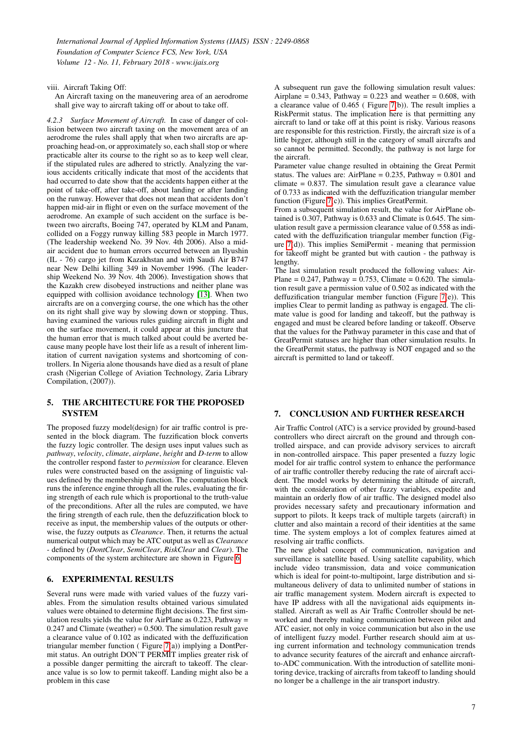viii. Aircraft Taking Off:

An Aircraft taxing on the maneuvering area of an aerodrome shall give way to aircraft taking off or about to take off.

*4.2.3 Surface Movement of Aircraft.* In case of danger of collision between two aircraft taxing on the movement area of an aerodrome the rules shall apply that when two aircrafts are approaching head-on, or approximately so, each shall stop or where practicable alter its course to the right so as to keep well clear, if the stipulated rules are adhered to strictly. Analyzing the various accidents critically indicate that most of the accidents that had occurred to date show that the accidents happen either at the point of take-off, after take-off, about landing or after landing on the runway. However that does not mean that accidents don't happen mid-air in flight or even on the surface movement of the aerodrome. An example of such accident on the surface is between two aircrafts, Boeing 747, operated by KLM and Panam, collided on a Foggy runway killing 583 people in March 1977. (The leadership weekend No. 39 Nov. 4th 2006). Also a midair accident due to human errors occurred between an Ilyushin (IL - 76) cargo jet from Kazakhstan and with Saudi Air B747 near New Delhi killing 349 in November 1996. (The leadership Weekend No. 39 Nov. 4th 2006). Investigation shows that the Kazakh crew disobeyed instructions and neither plane was equipped with collision avoidance technology [\[13\]](#page-8-9). When two aircrafts are on a converging course, the one which has the other on its right shall give way by slowing down or stopping. Thus, having examined the various rules guiding aircraft in flight and on the surface movement, it could appear at this juncture that the human error that is much talked about could be averted because many people have lost their life as a result of inherent limitation of current navigation systems and shortcoming of controllers. In Nigeria alone thousands have died as a result of plane crash (Nigerian College of Aviation Technology, Zaria Library Compilation, (2007)).

## 5. THE ARCHITECTURE FOR THE PROPOSED SYSTEM

The proposed fuzzy model(design) for air traffic control is presented in the block diagram. The fuzzification block converts the fuzzy logic controller. The design uses input values such as *pathway*, *velocity*, *climate*, *airplane*, *height* and *D-term* to allow the controller respond faster to *permission* for clearance. Eleven rules were constructed based on the assigning of linguistic values defined by the membership function. The computation block runs the inference engine through all the rules, evaluating the firing strength of each rule which is proportional to the truth-value of the preconditions. After all the rules are computed, we have the firing strength of each rule, then the defuzzification block to receive as input, the membership values of the outputs or otherwise, the fuzzy outputs as *Clearance*. Then, it returns the actual numerical output which may be ATC output as well as *Clearance* - defined by (*DontClear*, *SemiClear*, *RiskClear* and *Clear*). The components of the system architecture are shown in Figure [6.](#page-7-0)

# 6. EXPERIMENTAL RESULTS

Several runs were made with varied values of the fuzzy variables. From the simulation results obtained various simulated values were obtained to determine flight decisions. The first simulation results yields the value for AirPlane as  $0.223$ , Pathway =  $0.247$  and Climate (weather) =  $0.500$ . The simulation result gave a clearance value of 0.102 as indicated with the deffuzification triangular member function ( Figure [7\(](#page-7-1)a)) implying a DontPermit status. An outright DON'T PERMIT implies greater risk of a possible danger permitting the aircraft to takeoff. The clearance value is so low to permit takeoff. Landing might also be a problem in this case

A subsequent run gave the following simulation result values: Airplane =  $0.343$ , Pathway =  $0.223$  and weather =  $0.608$ , with a clearance value of 0.465 ( Figure [7\(](#page-7-1)b)). The result implies a RiskPermit status. The implication here is that permitting any aircraft to land or take off at this point is risky. Various reasons are responsible for this restriction. Firstly, the aircraft size is of a little bigger, although still in the category of small aircrafts and so cannot be permitted. Secondly, the pathway is not large for the aircraft.

Parameter value change resulted in obtaining the Great Permit status. The values are: AirPlane =  $0.235$ , Pathway =  $0.801$  and  $climate = 0.837$ . The simulation result gave a clearance value of 0.733 as indicated with the deffuzification triangular member function (Figure [7\(](#page-7-1)c)). This implies GreatPermit.

From a subsequent simulation result, the value for AirPlane obtained is 0.307, Pathway is 0.633 and Climate is 0.645. The simulation result gave a permission clearance value of 0.558 as indicated with the deffuzification triangular member function (Figure [7\(](#page-7-1)d)). This implies SemiPermit - meaning that permission for takeoff might be granted but with caution - the pathway is lengthy.

The last simulation result produced the following values: Air-Plane =  $0.247$ , Pathway =  $0.753$ , Climate =  $0.620$ . The simulation result gave a permission value of 0.502 as indicated with the deffuzification triangular member function (Figure [7\(](#page-7-1)e)). This implies Clear to permit landing as pathway is engaged. The climate value is good for landing and takeoff, but the pathway is engaged and must be cleared before landing or takeoff. Observe that the values for the Pathway parameter in this case and that of GreatPermit statuses are higher than other simulation results. In the GreatPermit status, the pathway is NOT engaged and so the aircraft is permitted to land or takeoff.

## 7. CONCLUSION AND FURTHER RESEARCH

Air Traffic Control (ATC) is a service provided by ground-based controllers who direct aircraft on the ground and through controlled airspace, and can provide advisory services to aircraft in non-controlled airspace. This paper presented a fuzzy logic model for air traffic control system to enhance the performance of air traffic controller thereby reducing the rate of aircraft accident. The model works by determining the altitude of aircraft, with the consideration of other fuzzy variables, expedite and maintain an orderly flow of air traffic. The designed model also provides necessary safety and precautionary information and support to pilots. It keeps track of multiple targets (aircraft) in clutter and also maintain a record of their identities at the same time. The system employs a lot of complex features aimed at resolving air traffic conflicts.

The new global concept of communication, navigation and surveillance is satellite based. Using satellite capability, which include video transmission, data and voice communication which is ideal for point-to-multipoint, large distribution and simultaneous delivery of data to unlimited number of stations in air traffic management system. Modern aircraft is expected to have IP address with all the navigational aids equipments installed. Aircraft as well as Air Traffic Controller should be networked and thereby making communication between pilot and ATC easier, not only in voice communication but also in the use of intelligent fuzzy model. Further research should aim at using current information and technology communication trends to advance security features of the aircraft and enhance aircraftto-ADC communication. With the introduction of satellite monitoring device, tracking of aircrafts from takeoff to landing should no longer be a challenge in the air transport industry.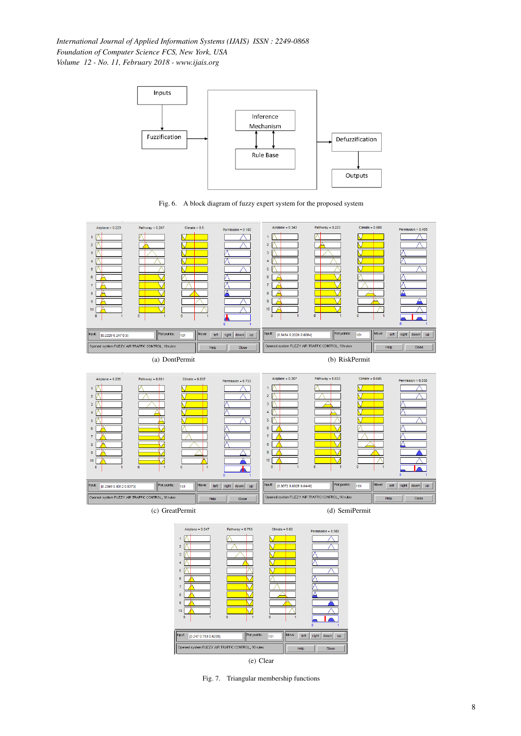

<span id="page-7-0"></span>





<span id="page-7-1"></span>Fig. 7. Triangular membership functions